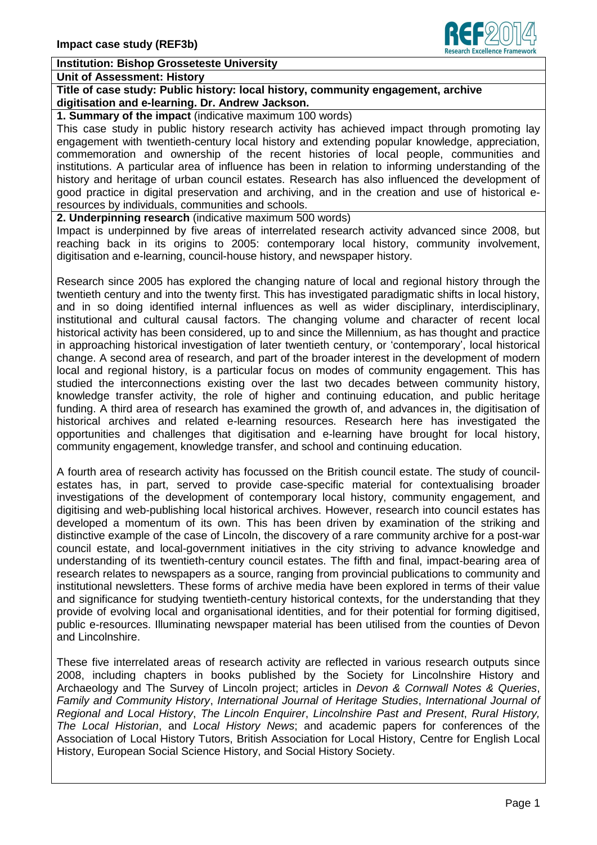

## **Institution: Bishop Grosseteste University**

## **Unit of Assessment: History**

**Title of case study: Public history: local history, community engagement, archive digitisation and e-learning. Dr. Andrew Jackson.**

**1. Summary of the impact** (indicative maximum 100 words)

This case study in public history research activity has achieved impact through promoting lay engagement with twentieth-century local history and extending popular knowledge, appreciation, commemoration and ownership of the recent histories of local people, communities and institutions. A particular area of influence has been in relation to informing understanding of the history and heritage of urban council estates. Research has also influenced the development of good practice in digital preservation and archiving, and in the creation and use of historical eresources by individuals, communities and schools.

**2. Underpinning research** (indicative maximum 500 words)

Impact is underpinned by five areas of interrelated research activity advanced since 2008, but reaching back in its origins to 2005: contemporary local history, community involvement, digitisation and e-learning, council-house history, and newspaper history.

Research since 2005 has explored the changing nature of local and regional history through the twentieth century and into the twenty first. This has investigated paradigmatic shifts in local history, and in so doing identified internal influences as well as wider disciplinary, interdisciplinary, institutional and cultural causal factors. The changing volume and character of recent local historical activity has been considered, up to and since the Millennium, as has thought and practice in approaching historical investigation of later twentieth century, or 'contemporary', local historical change. A second area of research, and part of the broader interest in the development of modern local and regional history, is a particular focus on modes of community engagement. This has studied the interconnections existing over the last two decades between community history, knowledge transfer activity, the role of higher and continuing education, and public heritage funding. A third area of research has examined the growth of, and advances in, the digitisation of historical archives and related e-learning resources. Research here has investigated the opportunities and challenges that digitisation and e-learning have brought for local history, community engagement, knowledge transfer, and school and continuing education.

A fourth area of research activity has focussed on the British council estate. The study of councilestates has, in part, served to provide case-specific material for contextualising broader investigations of the development of contemporary local history, community engagement, and digitising and web-publishing local historical archives. However, research into council estates has developed a momentum of its own. This has been driven by examination of the striking and distinctive example of the case of Lincoln, the discovery of a rare community archive for a post-war council estate, and local-government initiatives in the city striving to advance knowledge and understanding of its twentieth-century council estates. The fifth and final, impact-bearing area of research relates to newspapers as a source, ranging from provincial publications to community and institutional newsletters. These forms of archive media have been explored in terms of their value and significance for studying twentieth-century historical contexts, for the understanding that they provide of evolving local and organisational identities, and for their potential for forming digitised, public e-resources. Illuminating newspaper material has been utilised from the counties of Devon and Lincolnshire.

These five interrelated areas of research activity are reflected in various research outputs since 2008, including chapters in books published by the Society for Lincolnshire History and Archaeology and The Survey of Lincoln project; articles in *Devon & Cornwall Notes & Queries*, *Family and Community History*, *International Journal of Heritage Studies*, *International Journal of Regional and Local History*, *The Lincoln Enquirer*, *Lincolnshire Past and Present*, *Rural History, The Local Historian*, and *Local History News*; and academic papers for conferences of the Association of Local History Tutors, British Association for Local History, Centre for English Local History, European Social Science History, and Social History Society.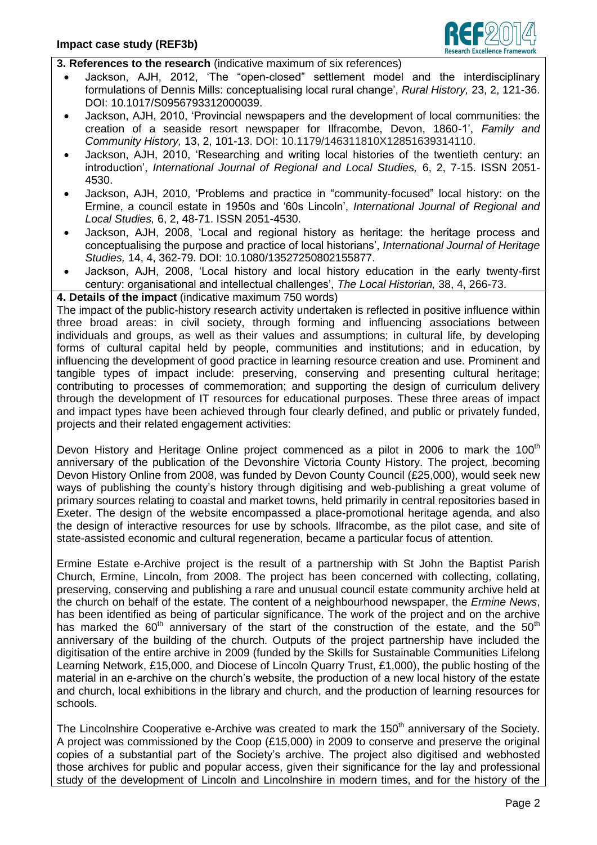

**3. References to the research** (indicative maximum of six references)

- Jackson, AJH, 2012, 'The "open-closed" settlement model and the interdisciplinary formulations of Dennis Mills: conceptualising local rural change', *Rural History,* 23, 2, 121-36. DOI: 10.1017/S0956793312000039.
- Jackson, AJH, 2010, 'Provincial newspapers and the development of local communities: the creation of a seaside resort newspaper for Ilfracombe, Devon, 1860-1', *Family and Community History,* 13, 2, 101-13. DOI: 10.1179/146311810X12851639314110.
- Jackson, AJH, 2010, 'Researching and writing local histories of the twentieth century: an introduction', *International Journal of Regional and Local Studies,* 6, 2, 7-15. ISSN 2051- 4530.
- Jackson, AJH, 2010, 'Problems and practice in "community-focused" local history: on the Ermine, a council estate in 1950s and '60s Lincoln', *International Journal of Regional and Local Studies,* 6, 2, 48-71. ISSN 2051-4530.
- Jackson, AJH, 2008, 'Local and regional history as heritage: the heritage process and conceptualising the purpose and practice of local historians', *International Journal of Heritage Studies,* 14, 4, 362-79. DOI: 10.1080/13527250802155877.
- Jackson, AJH, 2008, 'Local history and local history education in the early twenty-first century: organisational and intellectual challenges', *The Local Historian,* 38, 4, 266-73.

**4. Details of the impact** (indicative maximum 750 words)

The impact of the public-history research activity undertaken is reflected in positive influence within three broad areas: in civil society, through forming and influencing associations between individuals and groups, as well as their values and assumptions; in cultural life, by developing forms of cultural capital held by people, communities and institutions; and in education, by influencing the development of good practice in learning resource creation and use. Prominent and tangible types of impact include: preserving, conserving and presenting cultural heritage; contributing to processes of commemoration; and supporting the design of curriculum delivery through the development of IT resources for educational purposes. These three areas of impact and impact types have been achieved through four clearly defined, and public or privately funded, projects and their related engagement activities:

Devon History and Heritage Online project commenced as a pilot in 2006 to mark the 100<sup>th</sup> anniversary of the publication of the Devonshire Victoria County History. The project, becoming Devon History Online from 2008, was funded by Devon County Council (£25,000), would seek new ways of publishing the county's history through digitising and web-publishing a great volume of primary sources relating to coastal and market towns, held primarily in central repositories based in Exeter. The design of the website encompassed a place-promotional heritage agenda, and also the design of interactive resources for use by schools. Ilfracombe, as the pilot case, and site of state-assisted economic and cultural regeneration, became a particular focus of attention.

Ermine Estate e-Archive project is the result of a partnership with St John the Baptist Parish Church, Ermine, Lincoln, from 2008. The project has been concerned with collecting, collating, preserving, conserving and publishing a rare and unusual council estate community archive held at the church on behalf of the estate. The content of a neighbourhood newspaper, the *Ermine News*, has been identified as being of particular significance. The work of the project and on the archive has marked the  $60<sup>th</sup>$  anniversary of the start of the construction of the estate, and the  $50<sup>th</sup>$ anniversary of the building of the church. Outputs of the project partnership have included the digitisation of the entire archive in 2009 (funded by the Skills for Sustainable Communities Lifelong Learning Network, £15,000, and Diocese of Lincoln Quarry Trust, £1,000), the public hosting of the material in an e-archive on the church's website, the production of a new local history of the estate and church, local exhibitions in the library and church, and the production of learning resources for schools.

The Lincolnshire Cooperative e-Archive was created to mark the  $150<sup>th</sup>$  anniversary of the Society. A project was commissioned by the Coop (£15,000) in 2009 to conserve and preserve the original copies of a substantial part of the Society's archive. The project also digitised and webhosted those archives for public and popular access, given their significance for the lay and professional study of the development of Lincoln and Lincolnshire in modern times, and for the history of the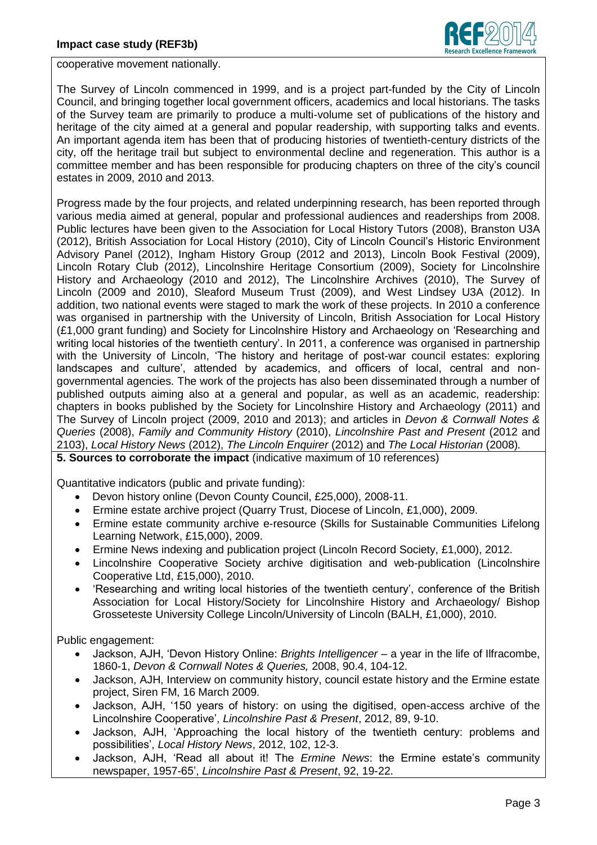

cooperative movement nationally.

The Survey of Lincoln commenced in 1999, and is a project part-funded by the City of Lincoln Council, and bringing together local government officers, academics and local historians. The tasks of the Survey team are primarily to produce a multi-volume set of publications of the history and heritage of the city aimed at a general and popular readership, with supporting talks and events. An important agenda item has been that of producing histories of twentieth-century districts of the city, off the heritage trail but subject to environmental decline and regeneration. This author is a committee member and has been responsible for producing chapters on three of the city's council estates in 2009, 2010 and 2013.

Progress made by the four projects, and related underpinning research, has been reported through various media aimed at general, popular and professional audiences and readerships from 2008. Public lectures have been given to the Association for Local History Tutors (2008), Branston U3A (2012), British Association for Local History (2010), City of Lincoln Council's Historic Environment Advisory Panel (2012), Ingham History Group (2012 and 2013), Lincoln Book Festival (2009), Lincoln Rotary Club (2012), Lincolnshire Heritage Consortium (2009), Society for Lincolnshire History and Archaeology (2010 and 2012), The Lincolnshire Archives (2010), The Survey of Lincoln (2009 and 2010), Sleaford Museum Trust (2009), and West Lindsey U3A (2012). In addition, two national events were staged to mark the work of these projects. In 2010 a conference was organised in partnership with the University of Lincoln, British Association for Local History (£1,000 grant funding) and Society for Lincolnshire History and Archaeology on 'Researching and writing local histories of the twentieth century'. In 2011, a conference was organised in partnership with the University of Lincoln, 'The history and heritage of post-war council estates: exploring landscapes and culture', attended by academics, and officers of local, central and nongovernmental agencies. The work of the projects has also been disseminated through a number of published outputs aiming also at a general and popular, as well as an academic, readership: chapters in books published by the Society for Lincolnshire History and Archaeology (2011) and The Survey of Lincoln project (2009, 2010 and 2013); and articles in *Devon & Cornwall Notes & Queries* (2008), *Family and Community History* (2010), *Lincolnshire Past and Present* (2012 and 2103), *Local History News* (2012), *The Lincoln Enquirer* (2012) and *The Local Historian* (2008)*.*

**5. Sources to corroborate the impact** (indicative maximum of 10 references)

Quantitative indicators (public and private funding):

- Devon history online (Devon County Council, £25,000), 2008-11.
- Ermine estate archive project (Quarry Trust, Diocese of Lincoln, £1,000), 2009.
- Ermine estate community archive e-resource (Skills for Sustainable Communities Lifelong Learning Network, £15,000), 2009.
- Ermine News indexing and publication project (Lincoln Record Society, £1,000), 2012.
- Lincolnshire Cooperative Society archive digitisation and web-publication (Lincolnshire Cooperative Ltd, £15,000), 2010.
- 'Researching and writing local histories of the twentieth century', conference of the British Association for Local History/Society for Lincolnshire History and Archaeology/ Bishop Grosseteste University College Lincoln/University of Lincoln (BALH, £1,000), 2010.

Public engagement:

- Jackson, AJH, 'Devon History Online: *Brights Intelligencer –* a year in the life of Ilfracombe, 1860-1, *Devon & Cornwall Notes & Queries,* 2008, 90.4, 104-12.
- Jackson, AJH, Interview on community history, council estate history and the Ermine estate project, Siren FM, 16 March 2009.
- Jackson, AJH, '150 years of history: on using the digitised, open-access archive of the Lincolnshire Cooperative', *Lincolnshire Past & Present*, 2012, 89, 9-10.
- Jackson, AJH, 'Approaching the local history of the twentieth century: problems and possibilities', *Local History News*, 2012, 102, 12-3.
- Jackson, AJH, 'Read all about it! The *Ermine News*: the Ermine estate's community newspaper, 1957-65', *Lincolnshire Past & Present*, 92, 19-22.